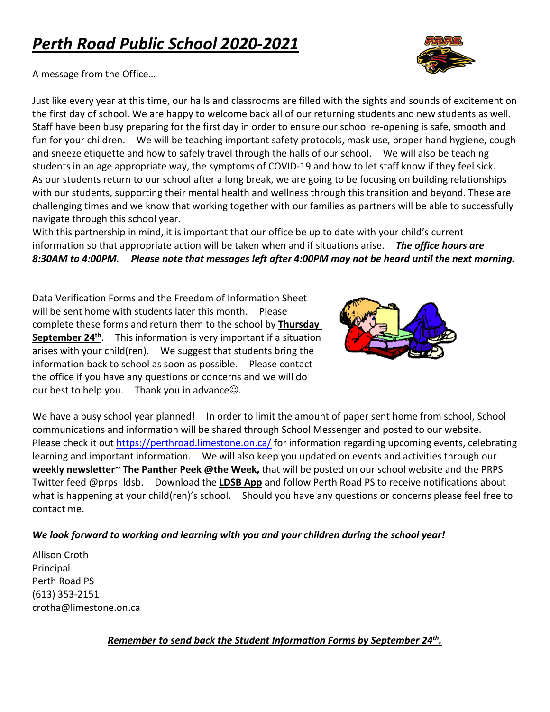# *Perth Road Public School 2020-2021*



A message from the Office…

Just like every year at this time, our halls and classrooms are filled with the sights and sounds of excitement on the first day of school. We are happy to welcome back all of our returning students and new students as well. Staff have been busy preparing for the first day in order to ensure our school re-opening is safe, smooth and fun for your children. We will be teaching important safety protocols, mask use, proper hand hygiene, cough and sneeze etiquette and how to safely travel through the halls of our school. We will also be teaching students in an age appropriate way, the symptoms of COVID-19 and how to let staff know if they feel sick. As our students return to our school after a long break, we are going to be focusing on building relationships with our students, supporting their mental health and wellness through this transition and beyond. These are challenging times and we know that working together with our families as partners will be able to successfully navigate through this school year.

With this partnership in mind, it is important that our office be up to date with your child's current information so that appropriate action will be taken when and if situations arise. *The office hours are 8:30AM to 4:00PM. Please note that messages left after 4:00PM may not be heard until the next morning.*

Data Verification Forms and the Freedom of Information Sheet will be sent home with students later this month. Please complete these forms and return them to the school by **Thursday September 24<sup>th</sup>.** This information is very important if a situation arises with your child(ren). We suggest that students bring the information back to school as soon as possible. Please contact the office if you have any questions or concerns and we will do our best to help you. Thank you in advance $\odot$ .



We have a busy school year planned! In order to limit the amount of paper sent home from school, School communications and information will be shared through School Messenger and posted to our website. Please check it out <https://perthroad.limestone.on.ca/> for information regarding upcoming events, celebrating learning and important information. We will also keep you updated on events and activities through our **weekly newsletter~ The Panther Peek @the Week,** that will be posted on our school website and the PRPS Twitter feed @prps\_ldsb. Download the **LDSB App** and follow Perth Road PS to receive notifications about what is happening at your child(ren)'s school. Should you have any questions or concerns please feel free to contact me.

#### *We look forward to working and learning with you and your children during the school year!*

Allison Croth Principal Perth Road PS (613) 353-2151 crotha@limestone.on.ca

*Remember to send back the Student Information Forms by September 24th.*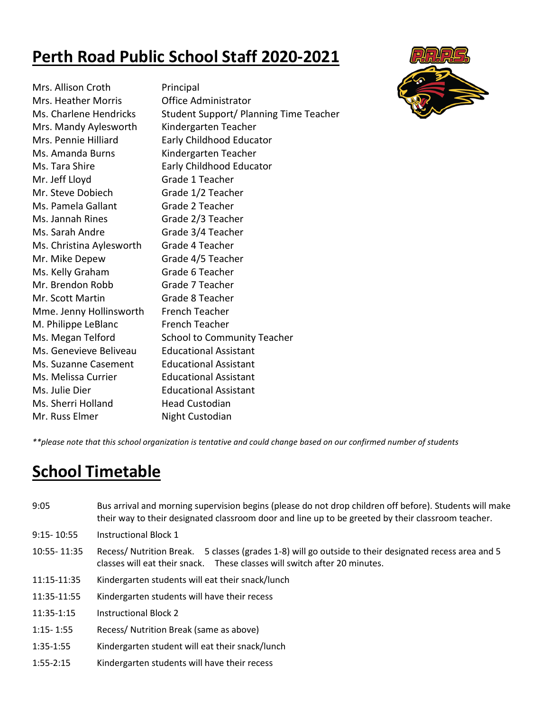# **Perth Road Public School Staff 2020-2021**



| Mrs. Allison Croth         | Principal                              |
|----------------------------|----------------------------------------|
| <b>Mrs. Heather Morris</b> | Office Administrator                   |
| Ms. Charlene Hendricks     | Student Support/ Planning Time Teacher |
| Mrs. Mandy Aylesworth      | Kindergarten Teacher                   |
| Mrs. Pennie Hilliard       | Early Childhood Educator               |
| Ms. Amanda Burns           | Kindergarten Teacher                   |
| Ms. Tara Shire             | Early Childhood Educator               |
| Mr. Jeff Lloyd             | Grade 1 Teacher                        |
| Mr. Steve Dobiech          | Grade 1/2 Teacher                      |
| Ms. Pamela Gallant         | Grade 2 Teacher                        |
| Ms. Jannah Rines           | Grade 2/3 Teacher                      |
| Ms. Sarah Andre            | Grade 3/4 Teacher                      |
| Ms. Christina Aylesworth   | Grade 4 Teacher                        |
| Mr. Mike Depew             | Grade 4/5 Teacher                      |
| Ms. Kelly Graham           | Grade 6 Teacher                        |
| Mr. Brendon Robb           | Grade 7 Teacher                        |
| Mr. Scott Martin           | Grade 8 Teacher                        |
| Mme. Jenny Hollinsworth    | <b>French Teacher</b>                  |
| M. Philippe LeBlanc        | <b>French Teacher</b>                  |
| Ms. Megan Telford          | <b>School to Community Teacher</b>     |
| Ms. Genevieve Beliveau     | <b>Educational Assistant</b>           |
| Ms. Suzanne Casement       | <b>Educational Assistant</b>           |
| Ms. Melissa Currier        | <b>Educational Assistant</b>           |
| Ms. Julie Dier             | <b>Educational Assistant</b>           |
| Ms. Sherri Holland         | <b>Head Custodian</b>                  |
| Mr. Russ Elmer             | Night Custodian                        |
|                            |                                        |

*\*\*please note that this school organization is tentative and could change based on our confirmed number of students*

# **School Timetable**

- 9:05 Bus arrival and morning supervision begins (please do not drop children off before). Students will make their way to their designated classroom door and line up to be greeted by their classroom teacher.
- 9:15- 10:55 Instructional Block 1
- 10:55- 11:35 Recess/ Nutrition Break. 5 classes (grades 1-8) will go outside to their designated recess area and 5 classes will eat their snack. These classes will switch after 20 minutes.
- 11:15-11:35 Kindergarten students will eat their snack/lunch
- 11:35-11:55 Kindergarten students will have their recess
- 11:35-1:15 Instructional Block 2
- 1:15- 1:55 Recess/ Nutrition Break (same as above)
- 1:35-1:55 Kindergarten student will eat their snack/lunch
- 1:55-2:15 Kindergarten students will have their recess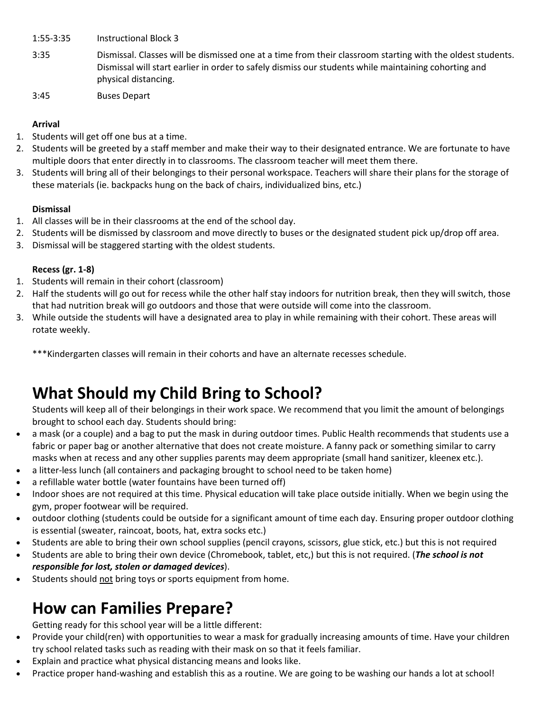- 1:55-3:35 Instructional Block 3
- 3:35 Dismissal. Classes will be dismissed one at a time from their classroom starting with the oldest students. Dismissal will start earlier in order to safely dismiss our students while maintaining cohorting and physical distancing.
- 3:45 Buses Depart

#### **Arrival**

- 1. Students will get off one bus at a time.
- 2. Students will be greeted by a staff member and make their way to their designated entrance. We are fortunate to have multiple doors that enter directly in to classrooms. The classroom teacher will meet them there.
- 3. Students will bring all of their belongings to their personal workspace. Teachers will share their plans for the storage of these materials (ie. backpacks hung on the back of chairs, individualized bins, etc.)

#### **Dismissal**

- 1. All classes will be in their classrooms at the end of the school day.
- 2. Students will be dismissed by classroom and move directly to buses or the designated student pick up/drop off area.
- 3. Dismissal will be staggered starting with the oldest students.

#### **Recess (gr. 1-8)**

- 1. Students will remain in their cohort (classroom)
- 2. Half the students will go out for recess while the other half stay indoors for nutrition break, then they will switch, those that had nutrition break will go outdoors and those that were outside will come into the classroom.
- 3. While outside the students will have a designated area to play in while remaining with their cohort. These areas will rotate weekly.

\*\*\*Kindergarten classes will remain in their cohorts and have an alternate recesses schedule.

# **What Should my Child Bring to School?**

Students will keep all of their belongings in their work space. We recommend that you limit the amount of belongings brought to school each day. Students should bring:

- a mask (or a couple) and a bag to put the mask in during outdoor times. Public Health recommends that students use a fabric or paper bag or another alternative that does not create moisture. A fanny pack or something similar to carry masks when at recess and any other supplies parents may deem appropriate (small hand sanitizer, kleenex etc.).
- a litter-less lunch (all containers and packaging brought to school need to be taken home)
- a refillable water bottle (water fountains have been turned off)
- Indoor shoes are not required at this time. Physical education will take place outside initially. When we begin using the gym, proper footwear will be required.
- outdoor clothing (students could be outside for a significant amount of time each day. Ensuring proper outdoor clothing is essential (sweater, raincoat, boots, hat, extra socks etc.)
- Students are able to bring their own school supplies (pencil crayons, scissors, glue stick, etc.) but this is not required
- Students are able to bring their own device (Chromebook, tablet, etc,) but this is not required. (*The school is not responsible for lost, stolen or damaged devices*).
- Students should not bring toys or sports equipment from home.

# **How can Families Prepare?**

Getting ready for this school year will be a little different:

- Provide your child(ren) with opportunities to wear a mask for gradually increasing amounts of time. Have your children try school related tasks such as reading with their mask on so that it feels familiar.
- Explain and practice what physical distancing means and looks like.
- Practice proper hand-washing and establish this as a routine. We are going to be washing our hands a lot at school!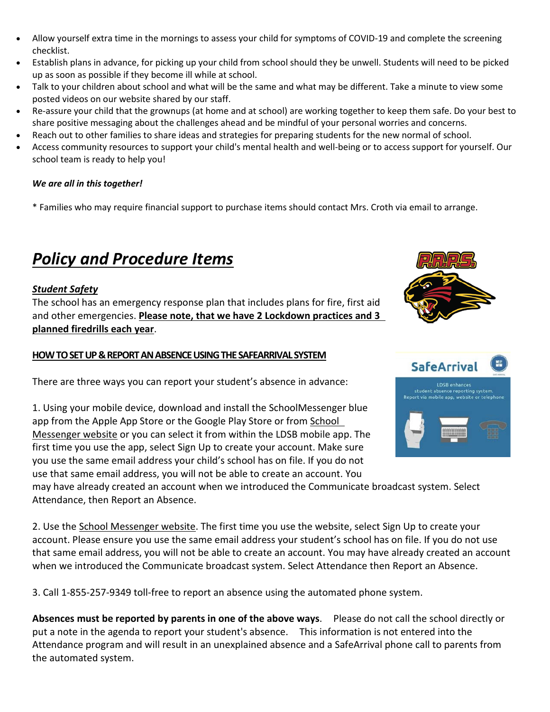- Allow yourself extra time in the mornings to assess your child for symptoms of COVID-19 and complete the screening checklist.
- Establish plans in advance, for picking up your child from school should they be unwell. Students will need to be picked up as soon as possible if they become ill while at school.
- Talk to your children about school and what will be the same and what may be different. Take a minute to view some posted videos on our website shared by our staff.
- Re-assure your child that the grownups (at home and at school) are working together to keep them safe. Do your best to share positive messaging about the challenges ahead and be mindful of your personal worries and concerns.
- Reach out to other families to share ideas and strategies for preparing students for the new normal of school.
- Access community resources to support your child's mental health and well-being or to access support for yourself. Our school team is ready to help you!

#### *We are all in this together!*

\* Families who may require financial support to purchase items should contact Mrs. Croth via email to arrange.

# *Policy and Procedure Items*

### *Student Safety*

The school has an emergency response plan that includes plans for fire, first aid and other emergencies. **Please note, that we have 2 Lockdown practices and 3 planned firedrills each year**.

#### **HOW TO SET UP & REPORT AN ABSENCE USING THE SAFEARRIVAL SYSTEM**

There are three ways you can report your student's absence in advance:

1. Using your mobile device, download and install the SchoolMessenger blue app from the Apple App Store or the Google Play Store or from [School](https://go.schoolmessenger.ca/)  [Messenger website](https://go.schoolmessenger.ca/) or you can select it from within the LDSB mobile app. The first time you use the app, select Sign Up to create your account. Make sure you use the same email address your child's school has on file. If you do not use that same email address, you will not be able to create an account. You

may have already created an account when we introduced the Communicate broadcast system. Select Attendance, then Report an Absence.

2. Use the [School Messenger website.](https://go.schoolmessenger.ca/) The first time you use the website, select Sign Up to create your account. Please ensure you use the same email address your student's school has on file. If you do not use that same email address, you will not be able to create an account. You may have already created an account when we introduced the Communicate broadcast system. Select Attendance then Report an Absence.

3. Call 1-855-257-9349 toll-free to report an absence using the automated phone system.

**Absences must be reported by parents in one of the above ways**. Please do not call the school directly or put a note in the agenda to report your student's absence. This information is not entered into the Attendance program and will result in an unexplained absence and a SafeArrival phone call to parents from the automated system.



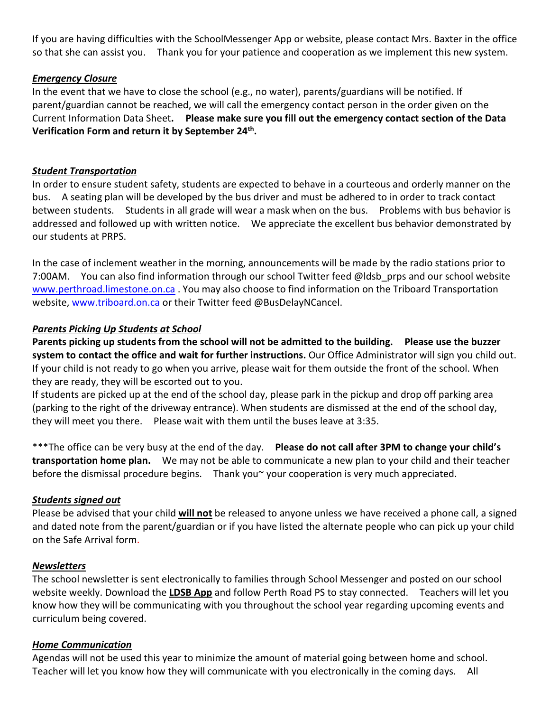If you are having difficulties with the SchoolMessenger App or website, please contact Mrs. Baxter in the office so that she can assist you. Thank you for your patience and cooperation as we implement this new system.

#### *Emergency Closure*

In the event that we have to close the school (e.g., no water), parents/guardians will be notified. If parent/guardian cannot be reached, we will call the emergency contact person in the order given on the Current Information Data Sheet**. Please make sure you fill out the emergency contact section of the Data Verification Form and return it by September 24th.** 

#### *Student Transportation*

In order to ensure student safety, students are expected to behave in a courteous and orderly manner on the bus. A seating plan will be developed by the bus driver and must be adhered to in order to track contact between students. Students in all grade will wear a mask when on the bus. Problems with bus behavior is addressed and followed up with written notice. We appreciate the excellent bus behavior demonstrated by our students at PRPS.

In the case of inclement weather in the morning, announcements will be made by the radio stations prior to 7:00AM. You can also find information through our school Twitter feed @ldsb\_prps and our school website [www.perthroad.limestone.on.ca](http://www.perthroad.limestone.on.ca/) . You may also choose to find information on the Triboard Transportation website, [www.triboard.on.ca](http://www.triboard.on.ca/) or their Twitter feed @BusDelayNCancel.

#### *Parents Picking Up Students at School*

**Parents picking up students from the school will not be admitted to the building. Please use the buzzer system to contact the office and wait for further instructions.** Our Office Administrator will sign you child out. If your child is not ready to go when you arrive, please wait for them outside the front of the school. When they are ready, they will be escorted out to you.

If students are picked up at the end of the school day, please park in the pickup and drop off parking area (parking to the right of the driveway entrance). When students are dismissed at the end of the school day, they will meet you there. Please wait with them until the buses leave at 3:35.

\*\*\*The office can be very busy at the end of the day. **Please do not call after 3PM to change your child's transportation home plan.** We may not be able to communicate a new plan to your child and their teacher before the dismissal procedure begins. Thank you~ your cooperation is very much appreciated.

#### *Students signed out*

Please be advised that your child **will not** be released to anyone unless we have received a phone call, a signed and dated note from the parent/guardian or if you have listed the alternate people who can pick up your child on the Safe Arrival form.

#### *Newsletters*

The school newsletter is sent electronically to families through School Messenger and posted on our school website weekly. Download the **LDSB App** and follow Perth Road PS to stay connected. Teachers will let you know how they will be communicating with you throughout the school year regarding upcoming events and curriculum being covered.

#### *Home Communication*

Agendas will not be used this year to minimize the amount of material going between home and school. Teacher will let you know how they will communicate with you electronically in the coming days. All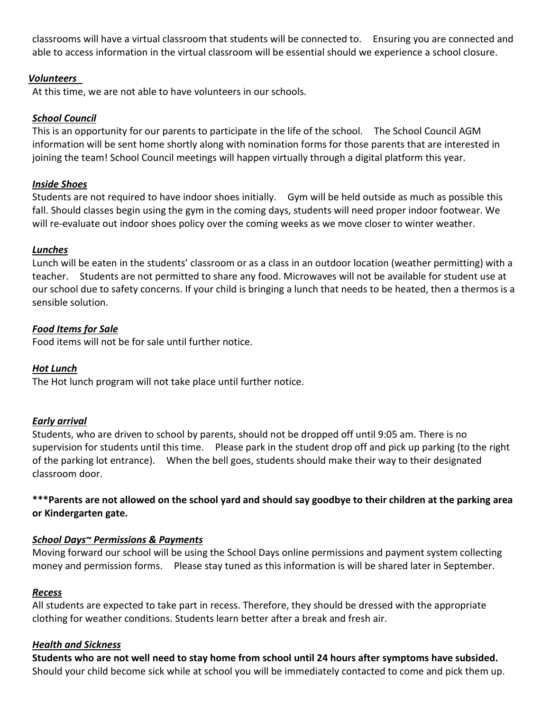classrooms will have a virtual classroom that students will be connected to. Ensuring you are connected and able to access information in the virtual classroom will be essential should we experience a school closure.

#### *Volunteers*

At this time, we are not able to have volunteers in our schools.

#### *School Council*

This is an opportunity for our parents to participate in the life of the school. The School Council AGM information will be sent home shortly along with nomination forms for those parents that are interested in joining the team! School Council meetings will happen virtually through a digital platform this year.

#### *Inside Shoes*

Students are not required to have indoor shoes initially. Gym will be held outside as much as possible this fall. Should classes begin using the gym in the coming days, students will need proper indoor footwear. We will re-evaluate out indoor shoes policy over the coming weeks as we move closer to winter weather.

#### *Lunches*

Lunch will be eaten in the students' classroom or as a class in an outdoor location (weather permitting) with a teacher. Students are not permitted to share any food. Microwaves will not be available for student use at our school due to safety concerns. If your child is bringing a lunch that needs to be heated, then a thermos is a sensible solution.

#### *Food Items for Sale*

Food items will not be for sale until further notice.

#### *Hot Lunch*

The Hot lunch program will not take place until further notice.

#### *Early arrival*

Students, who are driven to school by parents, should not be dropped off until 9:05 am. There is no supervision for students until this time. Please park in the student drop off and pick up parking (to the right of the parking lot entrance). When the bell goes, students should make their way to their designated classroom door.

#### **\*\*\*Parents are not allowed on the school yard and should say goodbye to their children at the parking area or Kindergarten gate.**

#### *School Days~ Permissions & Payments*

Moving forward our school will be using the School Days online permissions and payment system collecting money and permission forms. Please stay tuned as this information is will be shared later in September.

#### *Recess*

All students are expected to take part in recess. Therefore, they should be dressed with the appropriate clothing for weather conditions. Students learn better after a break and fresh air.

#### *Health and Sickness*

**Students who are not well need to stay home from school until 24 hours after symptoms have subsided.** Should your child become sick while at school you will be immediately contacted to come and pick them up.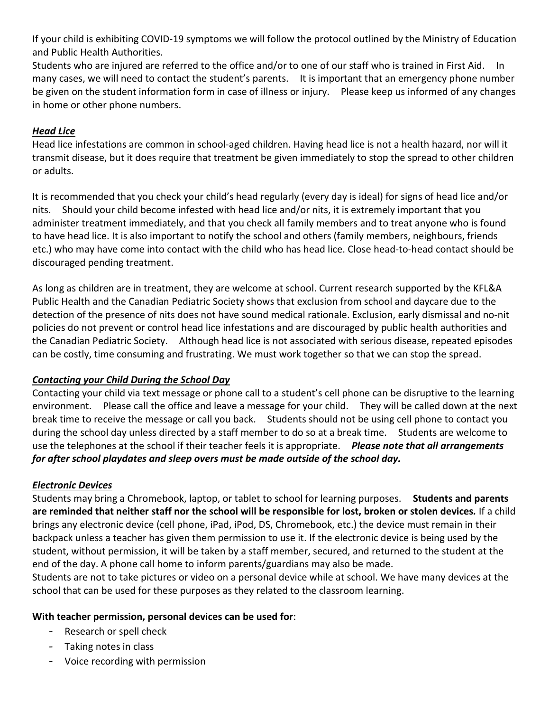If your child is exhibiting COVID-19 symptoms we will follow the protocol outlined by the Ministry of Education and Public Health Authorities.

Students who are injured are referred to the office and/or to one of our staff who is trained in First Aid. In many cases, we will need to contact the student's parents. It is important that an emergency phone number be given on the student information form in case of illness or injury. Please keep us informed of any changes in home or other phone numbers.

### *Head Lice*

Head lice infestations are common in school-aged children. Having head lice is not a health hazard, nor will it transmit disease, but it does require that treatment be given immediately to stop the spread to other children or adults.

It is recommended that you check your child's head regularly (every day is ideal) for signs of head lice and/or nits. Should your child become infested with head lice and/or nits, it is extremely important that you administer treatment immediately, and that you check all family members and to treat anyone who is found to have head lice. It is also important to notify the school and others (family members, neighbours, friends etc.) who may have come into contact with the child who has head lice. Close head-to-head contact should be discouraged pending treatment.

As long as children are in treatment, they are welcome at school. Current research supported by the KFL&A Public Health and the Canadian Pediatric Society shows that exclusion from school and daycare due to the detection of the presence of nits does not have sound medical rationale. Exclusion, early dismissal and no-nit policies do not prevent or control head lice infestations and are discouraged by public health authorities and the Canadian Pediatric Society. Although head lice is not associated with serious disease, repeated episodes can be costly, time consuming and frustrating. We must work together so that we can stop the spread.

### *Contacting your Child During the School Day*

Contacting your child via text message or phone call to a student's cell phone can be disruptive to the learning environment. Please call the office and leave a message for your child. They will be called down at the next break time to receive the message or call you back. Students should not be using cell phone to contact you during the school day unless directed by a staff member to do so at a break time. Students are welcome to use the telephones at the school if their teacher feels it is appropriate. *Please note that all arrangements for after school playdates and sleep overs must be made outside of the school day.* 

### *Electronic Devices*

Students may bring a Chromebook, laptop, or tablet to school for learning purposes. **Students and parents are reminded that neither staff nor the school will be responsible for lost, broken or stolen devices***.* If a child brings any electronic device (cell phone, iPad, iPod, DS, Chromebook, etc.) the device must remain in their backpack unless a teacher has given them permission to use it. If the electronic device is being used by the student, without permission, it will be taken by a staff member, secured, and returned to the student at the end of the day. A phone call home to inform parents/guardians may also be made.

Students are not to take pictures or video on a personal device while at school. We have many devices at the school that can be used for these purposes as they related to the classroom learning.

#### **With teacher permission, personal devices can be used for**:

- Research or spell check
- Taking notes in class
- Voice recording with permission